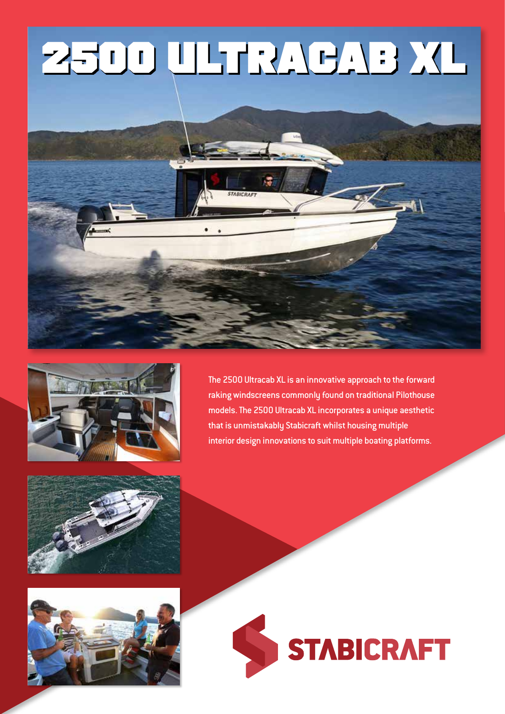# **2500 ULTRACAB XL**





The 2500 Ultracab XL is an innovative approach to the forward raking windscreens commonly found on traditional Pilothouse models. The 2500 Ultracab XL incorporates a unique aesthetic that is unmistakably Stabicraft whilst housing multiple interior design innovations to suit multiple boating platforms.